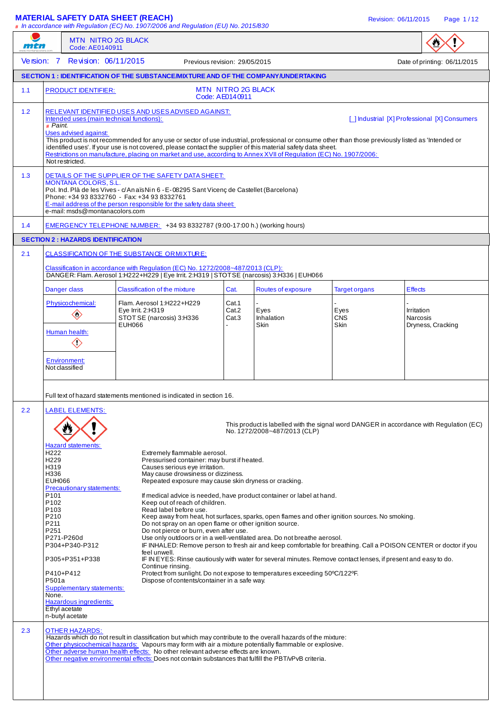#### **MATERIAL SAFETY DATA SHEET (REACH)** And the state of the state of the revision: 06/11/2015 Page 1/12

**#** In accordance with Regulation (EC) No. 1907/2006 and Regulation (EU) No. 2015/830 MTN NITRO 2G BLACK W mtn Code: AE0140911 Version: 7 Revision: 06/11/2015 Previous revision: 29/05/2015 Previous revision: 06/11/2015 **SECTION 1 : IDENTIFICATION OF THE SUBSTANCE/MIXTURE AND OF THE COMPANY/UNDERTAKING**  1.1 PRODUCT IDENTIFIER: MTN NITRO 2G BLACK Code: AE0140911 1.2 RELEVANT IDENTIFIED USES AND USES ADVISED AGAINST:<br>Intended uses (main technical functions): [ ] Industrial [X] Professional [X] Consumers **#** Paint. Uses advised against: This product is not recommended for any use or sector of use industrial, professional or consume other than those previously listed as 'Intended or identified uses'. If your use is not covered, please contact the supplier of this material safety data sheet. Restrictions on manufacture, placing on market and use, according to Annex XVII of Regulation (EC) No. 1907/2006: Not restricted. 1.3 DETAILS OF THE SUPPLIER OF THE SAFETY DATA SHEET: MONTANA COLORS, S.L. Pol. Ind. Plà de les Vives - c/ An aïs Nin 6 - E- 08295 Sant Vicenç de Castellet (Barcelona) Phone: +34 93 8332760 - Fax: +34 93 8332761 E-mail address of the person responsible for the safety data sheet: e-mail: msds@montanacolors.com 1.4 EMERGENCY TELEPHONE NUMBER: +34 93 8332787 (9:00-17:00 h.) (working hours) **SECTION 2 : HAZARDS IDENTIFICATION** 2.1 CLASSIFICATION OF THE SUBSTANCE ORMIXTURE: assification in accordance with Regulation (EC) No. 1272/2008~487/2013 (CLP): DANGER: Flam. Aerosol 1:H222+H229 | Eye Irrit. 2:H319 | STOT SE (narcosis) 3:H336 | EUH066 Danger class Classification of the mixture Cat. Routes of exposure Target organs Effects Physicochemical: Flam. Aerosol 1:H222+H229 Cat.1 - - - Eye Irrit. 2:H319 Cat.2 Eyes Eyes Eyes Irritation Cat.2 Eyes Eyes Irritation Cat.3 Eyes Irritation  $\langle \rangle$ STOT SE (narcosis) 3:H336 Cat.3 Inhalation CNS<br>EUH066 Skin Skin Dryness, Cracking Human health:  $\left\langle \cdot \right\rangle$ Environment: Not classified Full text of hazard statements mentioned is indicated in section 16. 2.2 | LABEL ELEMENTS: This product is labelled with the signal word DANGER in accordance with Regulation (EC) No. 1272/2008~487/2013 (CLP) Hazard statements Hendright Extremely flammable aerosol.<br>
Hendright Pressurised container: may be H229 Pressurised container: may burst if heated. H319 Causes serious eye irritation. H336 May cause drowsiness or dizziness.<br>EUH066 EUH066 Repeated exposure may cause skin Repeated exposure may cause skin dryness or cracking. Precautionary statements:<br>P101 P101 **If medical advice is needed, have product container or label at hand.**<br>P102 **If also in the property** Keep out of reach of children. P102 Keep out of reach of children.<br>P103 Read label before use. P103 Read label before use.<br>P210 Reep away from heat, https:// P210 Keep away from heat, hot surfaces, sparks, open flames and other ignition sources. No smoking.<br>P211 P211 P211 Do not spray on an open flame or other ignition source.<br>P251 Do not pierce or burn, even after use. P251 **Do not pierce or burn, even after use.**<br>P271-P260d Use only outdoors or in a well-ventilat P271-P260d Use only outdoors or in a well-ventilated area. Do not breathe aerosol.<br>P304+P340-P312 IF INHALED: Remove person to fresh air and keep comfortable for brea IF INHALED: Remove person to fresh air and keep comfortable for breathing. Call a POISON CENTER or doctor if you feel unwell. P305+P351+P338 IF IN EYES: Rinse cautiously with water for several minutes. Remove contact lenses, if present and easy to do. Continue rinsing. P410+P412 Protect from sunlight. Do not expose to temperatures exceeding 50°C/122°F.<br>P501a P501a Dispose of contents/container in a safe way. Dispose of contents/container in a safe way. Supplementary statements: None. Hazardous ingredients: Ethyl acetate n-butyl acetate 2.3 OTHER HAZARDS: Hazards which do not result in classification but which may contribute to the overall hazards of the mixture: Other physicochemical hazards: Vapours may form with air a mixture potentially flammable or explosive. Other adverse human health effects: No other relevant adverse effects are known. Other negative environmental effects: Does not contain substances that fulfill the PBT/vPvB criteria.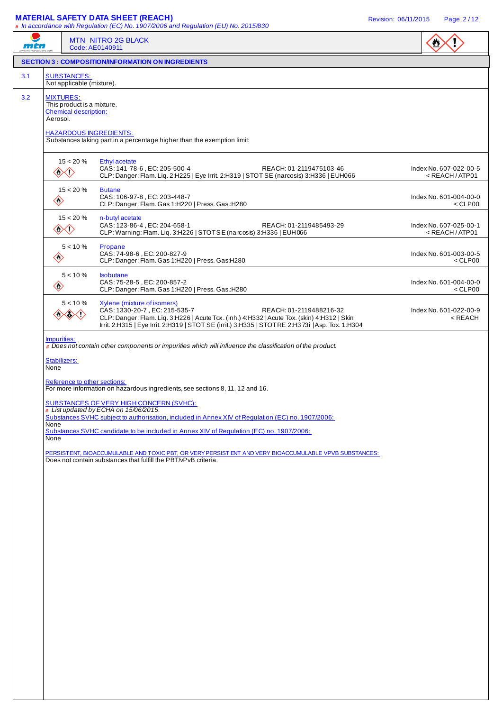#### **MATERIAL SAFETY DATA SHEET (REACH)** Revision: 06/11/2015 Page 2 / 12

| mch |                                      | MTN NITRO 2G BLACK<br>Code: AE0140911                                                                                                                                                                                                                                                                                                                                                                    | $\bullet$                                   |
|-----|--------------------------------------|----------------------------------------------------------------------------------------------------------------------------------------------------------------------------------------------------------------------------------------------------------------------------------------------------------------------------------------------------------------------------------------------------------|---------------------------------------------|
|     |                                      | <b>SECTION 3 : COMPOSITION/INFORMATION ON INGREDIENTS</b>                                                                                                                                                                                                                                                                                                                                                |                                             |
| 3.1 | <b>SUBSTANCES:</b>                   | Not applicable (mixture).                                                                                                                                                                                                                                                                                                                                                                                |                                             |
| 3.2 | <b>MIXTURES:</b><br>Aerosol.         | This product is a mixture.<br><b>Chemical description:</b><br><b>HAZARDOUS INGREDIENTS:</b><br>Substances taking part in a percentage higher than the exemption limit:                                                                                                                                                                                                                                   |                                             |
|     | ◈◆                                   | $15 < 20 \%$<br>Ethyl acetate<br>CAS: 141-78-6, EC: 205-500-4<br>REACH: 01-2119475103-46<br>CLP: Danger: Flam. Liq. 2:H225   Eye Irrit. 2:H319   STOT SE (narcosis) 3:H336   EUH066                                                                                                                                                                                                                      | Index No. 607-022-00-5<br>$<$ REACH / ATP01 |
|     | $\diamondsuit$                       | $15 < 20 \%$<br><b>Butane</b><br>CAS: 106-97-8, EC: 203-448-7<br>CLP: Danger: Flam. Gas 1:H220   Press. Gas.:H280                                                                                                                                                                                                                                                                                        | Index No. 601-004-00-0<br>$<$ CLP00         |
|     | ◈◇                                   | $15 < 20 \%$<br>n-butyl acetate<br>CAS: 123-86-4, EC: 204-658-1<br>REACH: 01-2119485493-29<br>CLP: Warning: Flam. Liq. 3:H226   STOTSE (na rcosis) 3:H336   EUH066                                                                                                                                                                                                                                       | Index No. 607-025-00-1<br>$<$ REACH / ATP01 |
|     | $\diamondsuit$                       | $5 < 10 \%$<br>Propane<br>CAS: 74-98-6, EC: 200-827-9<br>CLP: Danger: Flam. Gas 1:H220   Press. Gas:H280                                                                                                                                                                                                                                                                                                 | Index No. 601-003-00-5<br>$<$ CLP00         |
|     | $\diamondsuit$                       | $5 < 10 \%$<br>Isobutane<br>CAS: 75-28-5, EC: 200-857-2<br>CLP: Danger: Flam. Gas 1:H220   Press. Gas.:H280                                                                                                                                                                                                                                                                                              | Index No. 601-004-00-0<br>$<$ CLP00         |
|     | 38                                   | $5 < 10 \%$<br>Xylene (mixture of isomers)<br>CAS: 1330-20-7, EC: 215-535-7<br>REACH: 01-2119488216-32<br><b>《☆&lt;・〉</b><br>CLP: Danger: Flam. Liq. 3:H226   Acute Tox. (inh.) 4:H332   Acute Tox. (skin) 4:H312   Skin<br>Irrit. 2:H315   Eye Irrit. 2:H319   STOT SE (irrit.) 3:H335   STOT RE 2:H373i   Asp. Tox. 1:H304                                                                             | Index No. 601-022-00-9<br>< REACH           |
|     | Stabilizers:<br>None<br>None<br>None | Reference to other sections:<br>For more information on hazardous ingredients, see sections 8, 11, 12 and 16.<br><b>SUBSTANCES OF VERY HIGH CONCERN (SVHC):</b><br># List updated by ECHA on 15/06/2015.<br>Substances SVHC subject to authorisation, included in Annex XIV of Regulation (EC) no. 1907/2006:<br>Substances SVHC candidate to be included in Annex XIV of Regulation (EC) no. 1907/2006: |                                             |
|     |                                      | PERSISTENT, BIOACCUMULABLE AND TOXIC PBT, OR VERY PERSIST ENT AND VERY BIOACCUMULABLE VPVB SUBSTANCES:<br>Does not contain substances that fulfill the PBT/vPvB criteria.                                                                                                                                                                                                                                |                                             |
|     |                                      |                                                                                                                                                                                                                                                                                                                                                                                                          |                                             |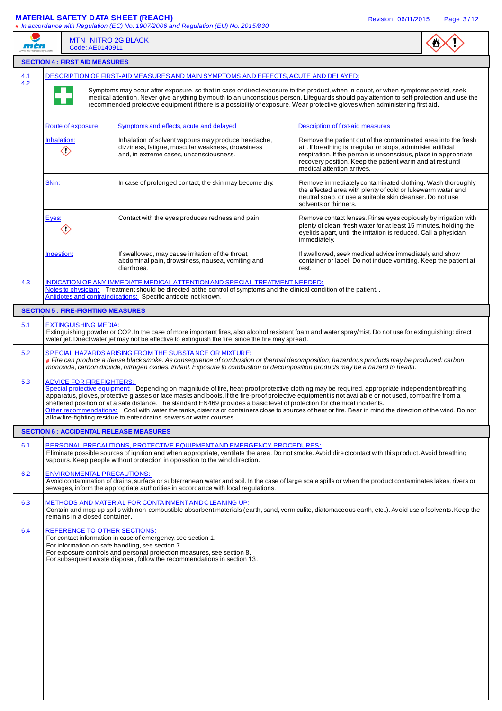# **MATERIAL SAFETY DATA SHEET (REACH) Revision: 06/11/2015** Page 3/12

| mtn        | <b>MTN NITRO 2G BLACK</b><br>Code: AE0140911   | # In accordance with Regulation (EC) No. 1907/2006 and Regulation (EU) No. 2015/830                                                                                                                                                                                                                                                                                                                                                                                                                                                                                                                                                                                          |                                                                                                                                                                                                                                                                                                 |  |
|------------|------------------------------------------------|------------------------------------------------------------------------------------------------------------------------------------------------------------------------------------------------------------------------------------------------------------------------------------------------------------------------------------------------------------------------------------------------------------------------------------------------------------------------------------------------------------------------------------------------------------------------------------------------------------------------------------------------------------------------------|-------------------------------------------------------------------------------------------------------------------------------------------------------------------------------------------------------------------------------------------------------------------------------------------------|--|
|            | <b>SECTION 4 : FIRST AID MEASURES</b>          |                                                                                                                                                                                                                                                                                                                                                                                                                                                                                                                                                                                                                                                                              |                                                                                                                                                                                                                                                                                                 |  |
| 4.1<br>4.2 |                                                | DESCRIPTION OF FIRST-AID MEASURES AND MAIN SYMPTOMS AND EFFECTS, ACUTE AND DELAYED:<br>Symptoms may occur after exposure, so that in case of direct exposure to the product, when in doubt, or when symptoms persist, seek<br>medical attention. Never give anything by mouth to an unconscious person. Lifeguards should pay attention to self-protection and use the<br>recommended protective equipment if there is a possibility of exposure. Wear protective gloves when administering first aid.                                                                                                                                                                       |                                                                                                                                                                                                                                                                                                 |  |
|            | Route of exposure                              | Symptoms and effects, acute and delayed                                                                                                                                                                                                                                                                                                                                                                                                                                                                                                                                                                                                                                      | Description of first-aid measures                                                                                                                                                                                                                                                               |  |
|            | Inhalation:<br>$\langle \rangle$               | Inhalation of solvent vapours may produce headache,<br>dizziness, fatigue, muscular weakness, drowsiness<br>and, in extreme cases, unconsciousness.                                                                                                                                                                                                                                                                                                                                                                                                                                                                                                                          | Remove the patient out of the contaminated area into the fresh<br>air. If breathing is irregular or stops, administer artificial<br>respiration. If the person is unconscious, place in appropriate<br>recovery position. Keep the patient warm and at rest until<br>medical attention arrives. |  |
|            | Skin:                                          | In case of prolonged contact, the skin may become dry.                                                                                                                                                                                                                                                                                                                                                                                                                                                                                                                                                                                                                       | Remove immediately contaminated clothing. Wash thoroughly<br>the affected area with plenty of cold or lukewarm water and<br>neutral soap, or use a suitable skin cleanser. Do not use<br>solvents or thinners.                                                                                  |  |
|            | Eyes:<br>〈!〉                                   | Contact with the eyes produces redness and pain.                                                                                                                                                                                                                                                                                                                                                                                                                                                                                                                                                                                                                             | Remove contact lenses. Rinse eyes copiously by irrigation with<br>plenty of clean, fresh water for at least 15 minutes, holding the<br>eyelids apart, until the irritation is reduced. Call a physician<br>immediately.                                                                         |  |
|            | Ingestion:                                     | If swallowed, may cause irritation of the throat,<br>abdominal pain, drowsiness, nausea, vomiting and<br>diarrhoea.                                                                                                                                                                                                                                                                                                                                                                                                                                                                                                                                                          | If swallowed, seek medical advice immediately and show<br>container or label. Do not induce vomiting. Keep the patient at<br>rest.                                                                                                                                                              |  |
| 4.3        |                                                | INDICATION OF ANY IMMEDIATE MEDICAL ATTENTION AND SPECIAL TREATMENT NEEDED:<br>Notes to physician: Treatment should be directed at the control of symptoms and the clinical condition of the patient<br>Antidotes and contraindications: Specific antidote not known.                                                                                                                                                                                                                                                                                                                                                                                                        |                                                                                                                                                                                                                                                                                                 |  |
|            | <b>SECTION 5 : FIRE-FIGHTING MEASURES</b>      |                                                                                                                                                                                                                                                                                                                                                                                                                                                                                                                                                                                                                                                                              |                                                                                                                                                                                                                                                                                                 |  |
| 5.1        | <b>EXTINGUISHING MEDIA:</b>                    | Extinguishing powder or CO2. In the case of more important fires, also alcohol resistant foam and water spray/mist. Do not use for extinguishing: direct<br>water jet. Direct water jet may not be effective to extinguish the fire, since the fire may spread.                                                                                                                                                                                                                                                                                                                                                                                                              |                                                                                                                                                                                                                                                                                                 |  |
| 5.2        |                                                | SPECIAL HAZARDS ARISING FROM THE SUBSTANCE OR MIXTURE:<br># Fire can produce a dense black smoke. As consequence of combustion or thermal decomposition, hazardous products may be produced: carbon<br>monoxide, carbon dioxide, nitrogen oxides. Irritant. Exposure to combustion or decomposition products may be a hazard to health.                                                                                                                                                                                                                                                                                                                                      |                                                                                                                                                                                                                                                                                                 |  |
| 5.3        | <b>ADVICE FOR FIREFIGHTERS:</b>                | Special protective equipment: Depending on magnitude of fire, heat-proof protective clothing may be required, appropriate independent breathing<br>apparatus, gloves, protective glasses or face masks and boots. If the fire-proof protective equipment is not available or not used, combat fire from a<br>sheltered position or at a safe distance. The standard EN469 provides a basic level of protection for chemical incidents.<br>Other recommendations: Cool with water the tanks, cisterns or containers close to sources of heat or fire. Bear in mind the direction of the wind. Do not<br>allow fire-fighting residue to enter drains, sewers or water courses. |                                                                                                                                                                                                                                                                                                 |  |
|            | <b>SECTION 6 : ACCIDENTAL RELEASE MEASURES</b> |                                                                                                                                                                                                                                                                                                                                                                                                                                                                                                                                                                                                                                                                              |                                                                                                                                                                                                                                                                                                 |  |
| 6.1        |                                                | PERSONAL PRECAUTIONS, PROTECTIVE EQUIPMENT AND EMERGENCY PROCEDURES:<br>Eliminate possible sources of ignition and when appropriate, ventilate the area. Do not smoke. Avoid dire o contact with this product. Avoid breathing<br>vapours. Keep people without protection in opossition to the wind direction.                                                                                                                                                                                                                                                                                                                                                               |                                                                                                                                                                                                                                                                                                 |  |
| 6.2        | <b>ENVIRONMENTAL PRECAUTIONS:</b>              | Avoid contamination of drains, surface or subterranean water and soil. In the case of large scale spills or when the product contaminates lakes, rivers or<br>sewages, inform the appropriate authorities in accordance with local regulations.                                                                                                                                                                                                                                                                                                                                                                                                                              |                                                                                                                                                                                                                                                                                                 |  |
| 6.3        | remains in a closed container.                 | METHODS AND MATERIAL FOR CONTAINMENT AND CLEANING UP:<br>Contain and mop up spills with non-combustible absorbent materials (earth, sand, vermiculite, diatomaceous earth, etc). Avoid use of solvents. Keep the                                                                                                                                                                                                                                                                                                                                                                                                                                                             |                                                                                                                                                                                                                                                                                                 |  |
| 6.4        | REFERENCE TO OTHER SECTIONS:                   | For contact information in case of emergency, see section 1.<br>For information on safe handling, see section 7.<br>For exposure controls and personal protection measures, see section 8.<br>For subsequent waste disposal, follow the recommendations in section 13.                                                                                                                                                                                                                                                                                                                                                                                                       |                                                                                                                                                                                                                                                                                                 |  |
|            |                                                |                                                                                                                                                                                                                                                                                                                                                                                                                                                                                                                                                                                                                                                                              |                                                                                                                                                                                                                                                                                                 |  |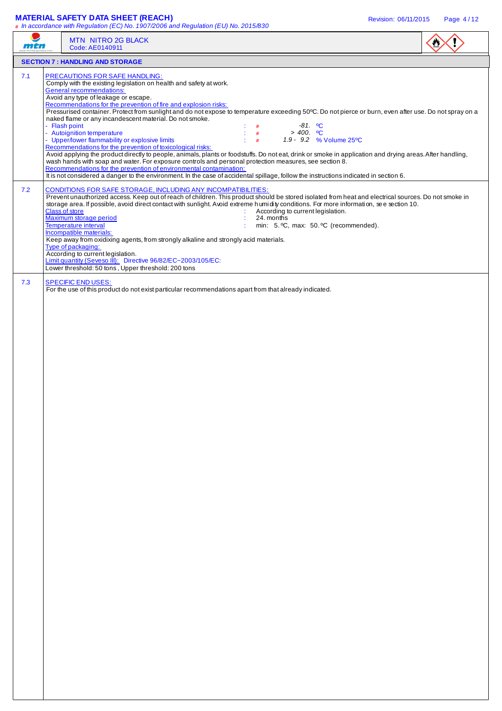#### **MATERIAL SAFETY DATA SHEET (REACH)** Revision: 06/11/2015 Page 4 / 12

| <i>ni 14</i> | MTN NITRO 2G BLACK<br>Code: AE0140911                                                                                                                                                                                                                                                                                                                                                                                                                                                                                                                                                                                                                                                                                                                                                                                                                                                                                                                                                                                                                                                                                                                                                                    |  |
|--------------|----------------------------------------------------------------------------------------------------------------------------------------------------------------------------------------------------------------------------------------------------------------------------------------------------------------------------------------------------------------------------------------------------------------------------------------------------------------------------------------------------------------------------------------------------------------------------------------------------------------------------------------------------------------------------------------------------------------------------------------------------------------------------------------------------------------------------------------------------------------------------------------------------------------------------------------------------------------------------------------------------------------------------------------------------------------------------------------------------------------------------------------------------------------------------------------------------------|--|
|              | <b>SECTION 7: HANDLING AND STORAGE</b>                                                                                                                                                                                                                                                                                                                                                                                                                                                                                                                                                                                                                                                                                                                                                                                                                                                                                                                                                                                                                                                                                                                                                                   |  |
| 7.1          | PRECAUTIONS FOR SAFE HANDLING:<br>Comply with the existing legislation on health and safety at work.<br><b>General recommendations:</b><br>Avoid any type of leakage or escape.<br>Recommendations for the prevention of fire and explosion risks:<br>Pressurised container. Protect from sunlight and do not expose to temperature exceeding 50°C. Do not pierce or burn, even after use. Do not spray on a<br>naked flame or any incandescent material. Do not smoke.<br>- Flash point<br>$-81.$ °C<br>#<br>- Autoignition temperature<br>$> 400.$ °C<br>#<br>- Upper/lower flammability or explosive limits<br>÷.<br>1.9 - 9.2 % Volume 25°C<br>#<br>Recommendations for the prevention of toxicological risks:<br>Avoid applying the product directly to people, animals, plants or foodstuffs. Do not eat, drink or smoke in application and drying areas. After handling,<br>wash hands with soap and water. For exposure controls and personal protection measures, see section 8.<br>Recommendations for the prevention of environmental contamination:<br>It is not considered a danger to the environment. In the case of accidental spillage, follow the instructions indicated in section 6. |  |
| 7.2          | CONDITIONS FOR SAFE STORAGE, INCLUDING ANY INCOMPATIBILITIES:<br>Prevent unauthorized access. Keep out of reach of children. This product should be stored isolated from heat and electrical sources. Do not smoke in<br>storage area. If possible, avoid direct contact with sunlight. Avoid extreme h umidity conditions. For more information, see section 10.<br><b>Class of store</b><br>According to current legislation.<br>Maximum storage period<br>24. months<br><b>Temperature interval</b><br>min: 5. °C, max: 50. °C (recommended).<br>Incompatible materials:<br>Keep away from oxidixing agents, from strongly alkaline and strongly acid materials.<br>Type of packaging:<br>According to current legislation.<br>Limit quantity (Seveso III): Directive 96/82/EC~2003/105/EC:<br>Lower threshold: 50 tons, Upper threshold: 200 tons                                                                                                                                                                                                                                                                                                                                                    |  |
| 7.3          | <b>SPECIFIC END USES:</b><br>For the use of this product do not exist particular recommendations apart from that already indicated.                                                                                                                                                                                                                                                                                                                                                                                                                                                                                                                                                                                                                                                                                                                                                                                                                                                                                                                                                                                                                                                                      |  |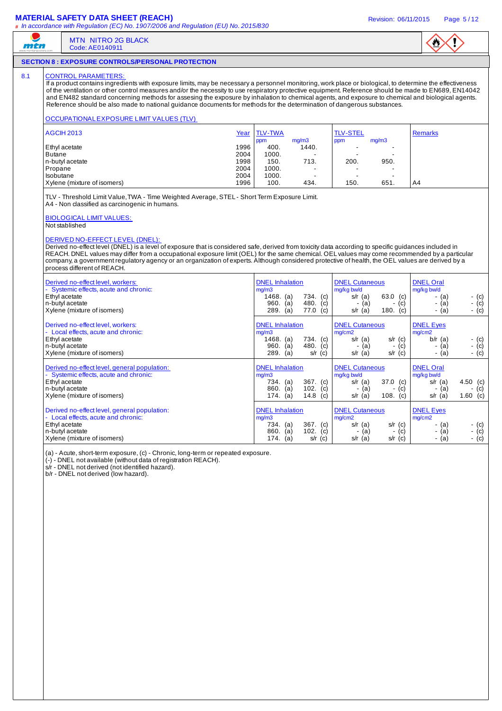#### **MATERIAL SAFETY DATA SHEET (REACH) Revision: 06/11/2015** Page 5/12



#### **SECTION 8 : EXPOSURE CONTROLS/PERSONAL PROTECTION**

MTN NITRO 2G BLACK Code: AE0140911

#### 8.1 CONTROL PARAMETERS

╱

mtn

If a product contains ingredients with exposure limits, may be necessary a personnel monitoring, work place or biological, to determine the effectiveness of the ventilation or other control measures and/or the necessity to use respiratory protective equipment. Reference should be made to EN689, EN14042 and EN482 standard concerning methods for assesing the exposure by inhalation to chemical agents, and exposure to chemical and biological agents. Reference should be also made to national guidance documents for methods for the determination of dangerous substances.

#### OCCUPATIONAL EXPOSURE LIMIT VALUES (TLV)

| AGCIH 2013                  | Year | <b>TLV-TWA</b> |                          | <b>TLV-STEL</b> |       | Remarks        |
|-----------------------------|------|----------------|--------------------------|-----------------|-------|----------------|
|                             |      | ppm            | mq/m3                    | ppm             | mg/m3 |                |
| Ethyl acetate               | 1996 | 400.           | 1440.                    |                 | -     |                |
| Butane                      | 2004 | 1000.          | $\,$                     |                 | -     |                |
| n-butvl acetate             | 1998 | 150.           | 713.                     | 200.            | 950.  |                |
| Propane                     | 2004 | 1000.          | $\,$                     |                 | -     |                |
| l Isobutane                 | 2004 | 1000.          | $\overline{\phantom{a}}$ |                 | -     |                |
| Xylene (mixture of isomers) | 1996 | 100.           | 434.                     | 150.            | 651.  | A <sub>4</sub> |

TLV - Threshold Limit Value, TWA - Time Weighted Average, STEL - Short Term Exposure Limit. A4 - Non classified as carcinogenic in humans.

#### BIOLOGICAL LIMIT VALUES:

Not stablished

#### DERIVED NO-EFFECT LEVEL (DNEL):

Derived no-effect level (DNEL) is a level of exposure that is considered safe, derived from toxicity data according to specific guidances included in REACH. DNEL values may differ from a occupational exposure limit (OEL) for the same chemical. OEL values may come recommended by a particular company, a government regulatory agency or an organization of experts. Although considered protective of health, the OEL values are derived by a process different of REACH.

| Derived no-effect level, workers:            | <b>DNEL</b> Inhalation     | <b>DNEL Cutaneous</b>   | <b>DNEL Oral</b>      |
|----------------------------------------------|----------------------------|-------------------------|-----------------------|
| - Systemic effects, acute and chronic:       | mq/m3                      | mg/kg bw/d              | mg/kg bw/d            |
| Ethyl acetate                                | 1468. $(a)$<br>734. (c)    | 63.0 (c)<br>s/r $(a)$   | - (c)<br>- (a)        |
| n-butyl acetate                              | 960.<br>480. $(c)$<br>(a)  | - (a)<br>- (c)          | - $(c)$<br>- (a)      |
| Xylene (mixture of isomers)                  | 289.<br>77.0<br>(a)<br>(c) | 180. $(c)$<br>$s/r$ (a) | - (c)<br>- (a)        |
| Derived no-effect level, workers:            | <b>DNEL</b> Inhalation     | <b>DNEL Cutaneous</b>   | <b>DNEL Eyes</b>      |
| - Local effects, acute and chronic:          | mg/m3                      | mg/cm2                  | mg/cm2                |
| Ethyl acetate                                | $1468.$ (a)<br>734. (c)    | $s/r$ (a)<br>$s/r$ (c)  | $b/r$ (a)             |
| n-butyl acetate                              | 480.<br>960.               |                         | - (c)                 |
|                                              | (a)<br>(c)                 | - (c)<br>(a)            | - (c)<br>- (a)        |
| Xylene (mixture of isomers)                  | $289.$ (a)<br>$s/r$ (c)    | s/r $(a)$<br>$s/r$ (c)  | - (c)<br>- (a)        |
|                                              |                            |                         |                       |
| Derived no-effect level, general population: | <b>DNEL</b> Inhalation     | <b>DNEL Cutaneous</b>   | <b>DNEL Oral</b>      |
| - Systemic effects, acute and chronic:       | mg/m3                      | mg/kg bw/d              | mg/kg bw/d            |
| Ethyl acetate                                | 367. (c)<br>734. (a)       | 37.0 (c)<br>s/r $(a)$   | 4.50 (c)<br>s/r $(a)$ |
| n-butyl acetate                              | 102. $(c)$<br>$860.$ (a)   | - (a)<br>- (c)          | - (a)<br>- (c)        |
| Xylene (mixture of isomers)                  | 14.8<br>174. (a)<br>(C)    | 108. $(c)$<br>$s/r$ (a) | 1.60 (c)<br>$s/r$ (a) |
|                                              |                            |                         |                       |
| Derived no-effect level, general population: | <b>DNEL</b> Inhalation     | <b>DNEL Cutaneous</b>   | <b>DNEL Eyes</b>      |
| - Local effects, acute and chronic:          | mq/m3                      | mq/cm2                  | mg/cm2                |
| Ethyl acetate                                | $367.$ (c)<br>734. (a)     | $s/r$ (a)<br>$s/r$ (c)  | - (c)<br>- (a)        |
| n-butyl acetate                              | 860.<br>102.<br>(c)<br>(a) | (c)<br>(a)<br>٠         | - $(c)$<br>- (a)      |
| Xylene (mixture of isomers)                  | 174.<br>(c)<br>(a)<br>s/r  | $s/r$ (a)<br>$s/r$ (c)  | $-$ (c)<br>- (a)      |

(a) - Acute, short-term exposure, (c) - Chronic, long-term or repeated exposure.

(-) - DNEL not available (without data of registration REACH).

s/r - DNEL not derived (not identified hazard).

b/r - DNEL not derived (low hazard).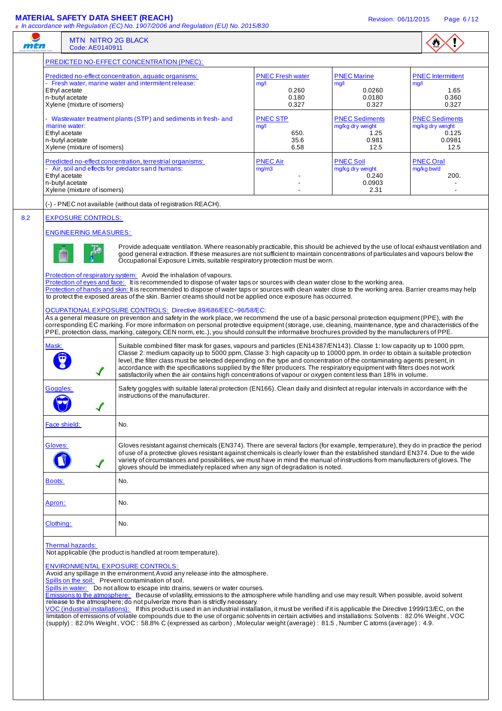### **MATERIAL SAFETY DATA SHEET (REACH)** Revision: 06/11/2015 Page 6 / 12

|                                                                                                                                                                                                                                                                                                                                                                                                                                                                                                                                                                                                                                          | <b>MTN NITRO 2G BLACK</b><br>Code: AE0140911                    |                                                                                                                                                                                                                                                                                                                                                                                                                                                                                                                                                                                                                                                                                                                                                                                                   |                                                   |                                                                 |                                                    |
|------------------------------------------------------------------------------------------------------------------------------------------------------------------------------------------------------------------------------------------------------------------------------------------------------------------------------------------------------------------------------------------------------------------------------------------------------------------------------------------------------------------------------------------------------------------------------------------------------------------------------------------|-----------------------------------------------------------------|---------------------------------------------------------------------------------------------------------------------------------------------------------------------------------------------------------------------------------------------------------------------------------------------------------------------------------------------------------------------------------------------------------------------------------------------------------------------------------------------------------------------------------------------------------------------------------------------------------------------------------------------------------------------------------------------------------------------------------------------------------------------------------------------------|---------------------------------------------------|-----------------------------------------------------------------|----------------------------------------------------|
|                                                                                                                                                                                                                                                                                                                                                                                                                                                                                                                                                                                                                                          |                                                                 | PREDICTED NO-EFFECT CONCENTRATION (PNEC):                                                                                                                                                                                                                                                                                                                                                                                                                                                                                                                                                                                                                                                                                                                                                         |                                                   |                                                                 |                                                    |
|                                                                                                                                                                                                                                                                                                                                                                                                                                                                                                                                                                                                                                          | Ethyl acetate<br>n-butyl acetate                                | Predicted no-effect concentration, aquatic organisms:<br>- Fresh water, marine water and intermitent release:                                                                                                                                                                                                                                                                                                                                                                                                                                                                                                                                                                                                                                                                                     | <b>PNEC Fresh water</b><br>mq/1<br>0.260<br>0.180 | <b>PNEC Marine</b><br>mg/1<br>0.0260<br>0.0180                  | <b>PNEC</b> Intermittent<br>mg/l<br>1.65<br>0.360  |
|                                                                                                                                                                                                                                                                                                                                                                                                                                                                                                                                                                                                                                          | Xylene (mixture of isomers)<br>marine water:                    | - Wastewater treatment plants (STP) and sediments in fresh- and                                                                                                                                                                                                                                                                                                                                                                                                                                                                                                                                                                                                                                                                                                                                   | 0.327<br><b>PNEC STP</b><br>mg/l                  | 0.327<br><b>PNEC Sediments</b><br>mg/kg dry weight              | 0.327<br><b>PNEC Sediments</b><br>mg/kg dry weight |
|                                                                                                                                                                                                                                                                                                                                                                                                                                                                                                                                                                                                                                          | Ethyl acetate<br>n-butyl acetate<br>Xylene (mixture of isomers) |                                                                                                                                                                                                                                                                                                                                                                                                                                                                                                                                                                                                                                                                                                                                                                                                   | 650.<br>35.6<br>6.58                              | 1.25<br>0.981<br>12.5                                           | 0.125<br>0.0981<br>12.5                            |
|                                                                                                                                                                                                                                                                                                                                                                                                                                                                                                                                                                                                                                          | Ethyl acetate<br>n-butyl acetate<br>Xylene (mixture of isomers) | Predicted no-effect concentration, terrestrial organisms:<br>- Air, soil and effects for predator s and humans:                                                                                                                                                                                                                                                                                                                                                                                                                                                                                                                                                                                                                                                                                   | <b>PNEC Air</b><br>mg/m3                          | <b>PNEC Soil</b><br>mg/kg dry weight<br>0.240<br>0.0903<br>2.31 | <b>PNEC Oral</b><br>mg/kg bw/d<br>200.             |
|                                                                                                                                                                                                                                                                                                                                                                                                                                                                                                                                                                                                                                          |                                                                 | (-) - PNEC not available (without data of registration REACH).                                                                                                                                                                                                                                                                                                                                                                                                                                                                                                                                                                                                                                                                                                                                    |                                                   |                                                                 |                                                    |
|                                                                                                                                                                                                                                                                                                                                                                                                                                                                                                                                                                                                                                          | <b>EXPOSURE CONTROLS:</b>                                       |                                                                                                                                                                                                                                                                                                                                                                                                                                                                                                                                                                                                                                                                                                                                                                                                   |                                                   |                                                                 |                                                    |
|                                                                                                                                                                                                                                                                                                                                                                                                                                                                                                                                                                                                                                          | <b>ENGINEERING MEASURES:</b>                                    | Provide adequate ventilation. Where reasonably practicable, this should be achieved by the use of local exhaust ventilation and<br>good general extraction. If these measures are not sufficient to maintain concentrations of particulates and vapours below the<br>Occupational Exposure Limits, suitable respiratory protection must be worn.<br>Protection of respiratory system: Avoid the inhalation of vapours.<br>Protection of eyes and face: It is recommended to dispose of water taps or sources with clean water close to the working area.                                                                                                                                                                                                                                          |                                                   |                                                                 |                                                    |
|                                                                                                                                                                                                                                                                                                                                                                                                                                                                                                                                                                                                                                          |                                                                 | Protection of hands and skin: It is recommended to dispose of water taps or sources with clean water close to the working area. Barrier creams may help<br>to protect the exposed areas of the skin. Barrier creams should not be applied once exposure has occurred.<br>OCUPATIONAL EXPOSURE CONTROLS: Directive 89/686/EEC~96/58/EC:<br>As a general measure on prevention and safety in the work place, we recommend the use of a basic personal protection equipment (PPE), with the<br>corresponding EC marking. For more information on personal protective equipment (storage, use, cleaning, maintenance, type and characteristics of the<br>PPE, protection class, marking, category, CEN norm, etc), you should consult the informative brochures provided by the manufacturers of PPE. |                                                   |                                                                 |                                                    |
| Mask:<br>Suitable combined filter mask for gases, vapours and particles (EN14387/EN143). Classe 1: low capacity up to 1000 ppm,<br>Classe 2: medium capacity up to 5000 ppm, Classe 3: high capacity up to 10000 ppm. In order to obtain a suitable protection<br>level, the filter class must be selected depending on the type and concentration of the contaminating agents present, in<br>accordance with the specifications supplied by the filter producers. The respiratory equipment with filters does not work<br>satisfactorily when the air contains high concentrations of vapour or oxygen content less than 18% in volume. |                                                                 |                                                                                                                                                                                                                                                                                                                                                                                                                                                                                                                                                                                                                                                                                                                                                                                                   |                                                   |                                                                 |                                                    |
| Goggles:                                                                                                                                                                                                                                                                                                                                                                                                                                                                                                                                                                                                                                 |                                                                 | Safety goggles with suitable lateral protection (EN166). Clean daily and disinfect at regular intervals in accordance with the<br>instructions of the manufacturer.                                                                                                                                                                                                                                                                                                                                                                                                                                                                                                                                                                                                                               |                                                   |                                                                 |                                                    |
|                                                                                                                                                                                                                                                                                                                                                                                                                                                                                                                                                                                                                                          | Face shield:                                                    | No.                                                                                                                                                                                                                                                                                                                                                                                                                                                                                                                                                                                                                                                                                                                                                                                               |                                                   |                                                                 |                                                    |
| Gloves:                                                                                                                                                                                                                                                                                                                                                                                                                                                                                                                                                                                                                                  |                                                                 | Gloves resistant against chemicals (EN374). There are several factors (for example, temperature), they do in practice the period<br>of use of a protective gloves resistant against chemicals is clearly lower than the established standard EN374. Due to the wide<br>variety of circumstances and possibilities, we must have in mind the manual of instructions from manufacturers of gloves. The<br>gloves should be immediately replaced when any sign of degradation is noted.                                                                                                                                                                                                                                                                                                              |                                                   |                                                                 |                                                    |
| <b>Boots:</b>                                                                                                                                                                                                                                                                                                                                                                                                                                                                                                                                                                                                                            |                                                                 | No.                                                                                                                                                                                                                                                                                                                                                                                                                                                                                                                                                                                                                                                                                                                                                                                               |                                                   |                                                                 |                                                    |
| Apron:                                                                                                                                                                                                                                                                                                                                                                                                                                                                                                                                                                                                                                   |                                                                 | No.                                                                                                                                                                                                                                                                                                                                                                                                                                                                                                                                                                                                                                                                                                                                                                                               |                                                   |                                                                 |                                                    |
|                                                                                                                                                                                                                                                                                                                                                                                                                                                                                                                                                                                                                                          |                                                                 | No.                                                                                                                                                                                                                                                                                                                                                                                                                                                                                                                                                                                                                                                                                                                                                                                               |                                                   |                                                                 |                                                    |
| Clothing:                                                                                                                                                                                                                                                                                                                                                                                                                                                                                                                                                                                                                                |                                                                 |                                                                                                                                                                                                                                                                                                                                                                                                                                                                                                                                                                                                                                                                                                                                                                                                   |                                                   |                                                                 |                                                    |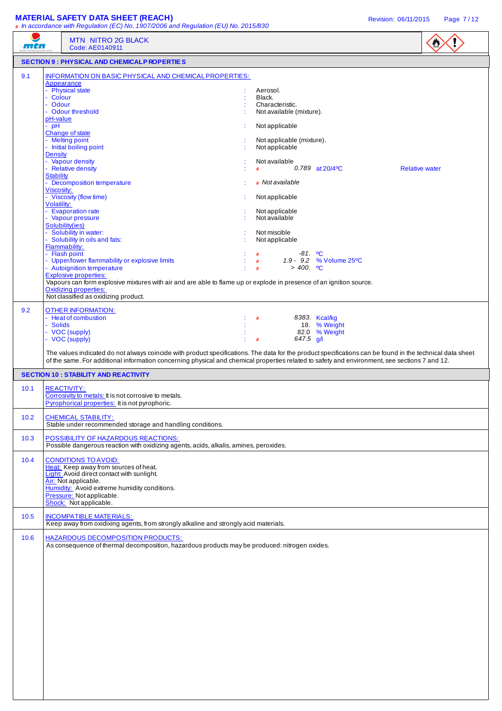| mtn    | <b>MTN NITRO 2G BLACK</b><br>Code: AE0140911                                                                                                                                                                                                                                                                                          |                    |                                                                                |                                |                       | $\bullet$ |
|--------|---------------------------------------------------------------------------------------------------------------------------------------------------------------------------------------------------------------------------------------------------------------------------------------------------------------------------------------|--------------------|--------------------------------------------------------------------------------|--------------------------------|-----------------------|-----------|
|        | <b>SECTION 9 : PHYSICAL AND CHEMICALP ROPERTIES</b>                                                                                                                                                                                                                                                                                   |                    |                                                                                |                                |                       |           |
| 9.1    | INFORMATION ON BASIC PHYSICAL AND CHEMICAL PROPERTIES:<br>Appearance<br>- Physical state<br>- Colour<br>- Odour<br>- Odour threshold<br>pH-value                                                                                                                                                                                      | Aerosol.<br>Black. | Characteristic.<br>Not available (mixture).                                    |                                |                       |           |
| $-$ pH | <b>Change of state</b><br>- Melting point<br>- Initial boiling point<br><b>Density</b><br>- Vapour density                                                                                                                                                                                                                            |                    | Not applicable<br>Not applicable (mixture).<br>Not applicable<br>Not available |                                |                       |           |
|        | - Relative density<br><b>Stability</b><br>- Decomposition temperature<br>Viscosity:<br>- Viscosity (flow time)                                                                                                                                                                                                                        | #                  | # Not available<br>Not applicable                                              | 0.789 at $20/4$ <sup>o</sup> C | <b>Relative water</b> |           |
|        | Volatility:<br>- Evaporation rate<br>- Vapour pressure<br>Solubility(ies)<br>- Solubility in water:                                                                                                                                                                                                                                   | Not miscible       | Not applicable<br>Not available                                                |                                |                       |           |
|        | Solubility in oils and fats:<br>Flammability:<br>- Flash point<br>- Upper/lower flammability or explosive limits<br>- Autoignition temperature<br><b>Explosive properties:</b><br>Vapours can form explosive mixtures with air and are able to flame up or explode in presence of an ignition source.<br><b>Oxidizing properties:</b> | #<br>#<br>#        | Not applicable<br>$>$ 400. $^{\circ}$ C                                        | 1.9 - 9.2 % Volume 25°C        |                       |           |
| 9.2    | Not classified as oxidizing product.<br><b>OTHER INFORMATION:</b><br>- Heat of combustion                                                                                                                                                                                                                                             | #                  |                                                                                | 8383. Kcal/kg                  |                       |           |
|        | - Solids<br>- VOC (supply)<br>- VOC (supply)                                                                                                                                                                                                                                                                                          | #                  | 647.5 $q/l$                                                                    | 18 % Weight<br>82.0 % Weight   |                       |           |
|        | The values indicated do not always coincide with product specifications. The data for the product specifications can be found in the technical data sheet<br>of the same. For additional information concerning physical and chemical properties related to safety and environment, see sections 7 and 12.                            |                    |                                                                                |                                |                       |           |
|        | <b>SECTION 10 : STABILITY AND REACTIVITY</b>                                                                                                                                                                                                                                                                                          |                    |                                                                                |                                |                       |           |
| 10.1   | <b>REACTIVITY:</b><br>Corrosivity to metals: It is not corrosive to metals.<br>Pyrophorical properties: It is not pyrophoric.                                                                                                                                                                                                         |                    |                                                                                |                                |                       |           |
| 10.2   | <b>CHEMICAL STABILITY:</b><br>Stable under recommended storage and handling conditions.                                                                                                                                                                                                                                               |                    |                                                                                |                                |                       |           |
| 10.3   | POSSIBILITY OF HAZARDOUS REACTIONS:<br>Possible dangerous reaction with oxidizing agents, acids, alkalis, amines, peroxides.                                                                                                                                                                                                          |                    |                                                                                |                                |                       |           |
| 10.4   | <b>CONDITIONS TO AVOID:</b><br>Heat: Keep away from sources of heat.<br>Light: Avoid direct contact with sunlight.<br>Air: Not applicable.<br>Humidity: Avoid extreme humidity conditions.<br>Pressure: Not applicable.<br>Shock: Not applicable.                                                                                     |                    |                                                                                |                                |                       |           |
| 10.5   | <b>INCOMPATIBLE MATERIALS:</b><br>Keep away from oxidixing agents, from strongly alkaline and strongly acid materials.                                                                                                                                                                                                                |                    |                                                                                |                                |                       |           |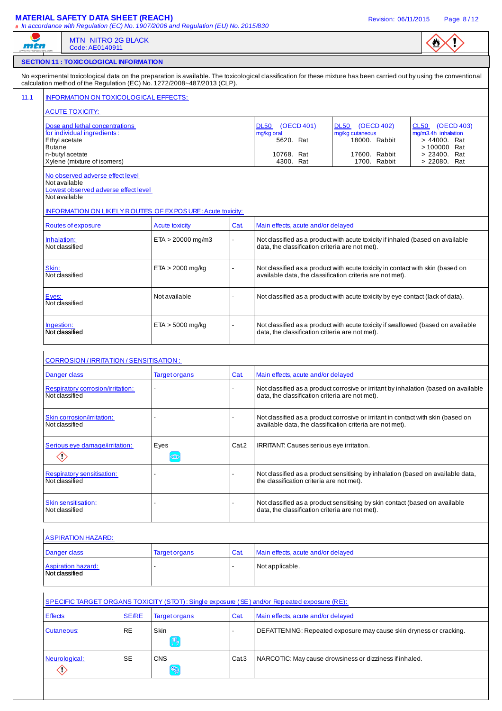| mtn                                                                                         | <b>MTN NITRO 2G BLACK</b><br>Code: AE0140911                                                               |                     |                                                                         |                                                 |                                                                                                                                             |                                                                                                                                                                       | $\mathbf{v}$                                                          |
|---------------------------------------------------------------------------------------------|------------------------------------------------------------------------------------------------------------|---------------------|-------------------------------------------------------------------------|-------------------------------------------------|---------------------------------------------------------------------------------------------------------------------------------------------|-----------------------------------------------------------------------------------------------------------------------------------------------------------------------|-----------------------------------------------------------------------|
|                                                                                             | <b>SECTION 11 : TOXIC OLOGICAL INFORMATION</b>                                                             |                     |                                                                         |                                                 |                                                                                                                                             |                                                                                                                                                                       |                                                                       |
|                                                                                             |                                                                                                            |                     | calculation method of the Regulation (EC) No. 1272/2008~487/2013 (CLP). |                                                 |                                                                                                                                             | No experimental toxicological data on the preparation is available. The toxicological classification for these mixture has been carried out by using the conventional |                                                                       |
|                                                                                             | INFORMATION ON TOXICOLOGICAL EFFECTS:                                                                      |                     |                                                                         |                                                 |                                                                                                                                             |                                                                                                                                                                       |                                                                       |
|                                                                                             | <b>ACUTE TOXICITY:</b>                                                                                     |                     |                                                                         |                                                 |                                                                                                                                             |                                                                                                                                                                       |                                                                       |
| <b>Butane</b>                                                                               | Dose and lethal concentrations<br>for individual ingredients:<br>Ethyl acetate                             |                     |                                                                         |                                                 | DL50 (OECD 401)<br>mg/kg oral<br>5620. Rat                                                                                                  | DL50 (OECD 402)<br>mg/kg cutaneous<br>18000. Rabbit                                                                                                                   | CL50 (OECD 403)<br>mg/m3.4h inhalation<br>> 44000. Rat<br>>100000 Rat |
|                                                                                             | n-butyl acetate<br>Xylene (mixture of isomers)                                                             |                     |                                                                         |                                                 | 10768. Rat<br>4300. Rat                                                                                                                     | 17600. Rabbit<br>1700. Rabbit                                                                                                                                         | > 23400. Rat<br>> 22080. Rat                                          |
|                                                                                             | No observed adverse effect level<br>Not available<br>Lowest observed adverse effect level<br>Not available |                     |                                                                         |                                                 |                                                                                                                                             |                                                                                                                                                                       |                                                                       |
|                                                                                             |                                                                                                            |                     | <b>INFORMATION ON LIKELY ROUTES OF EX POSURE: Acute toxicity:</b>       |                                                 |                                                                                                                                             |                                                                                                                                                                       |                                                                       |
|                                                                                             | Routes of exposure                                                                                         |                     | <b>Acute toxicity</b>                                                   | Cat.                                            | Main effects, acute and/or delayed                                                                                                          |                                                                                                                                                                       |                                                                       |
| Inhalation:<br>Not classified<br>Skin:<br>Not classified                                    |                                                                                                            | $ETA > 20000$ mg/m3 |                                                                         | data, the classification criteria are not met). | Not classified as a product with acute toxicity if inhaled (based on available                                                              |                                                                                                                                                                       |                                                                       |
|                                                                                             |                                                                                                            | $ETA > 2000$ mg/kg  |                                                                         |                                                 | Not classified as a product with acute toxicity in contact with skin (based on<br>available data, the classification criteria are not met). |                                                                                                                                                                       |                                                                       |
|                                                                                             | Eyes:<br>Not classified                                                                                    |                     | Not available                                                           |                                                 |                                                                                                                                             | Not classified as a product with acute toxicity by eye contact (lack of data).                                                                                        |                                                                       |
| Ingestion:                                                                                  | Not classified                                                                                             |                     | $ETA > 5000$ mg/kg                                                      |                                                 | data, the classification criteria are not met).                                                                                             | Not classified as a product with acute toxicity if swallowed (based on available                                                                                      |                                                                       |
|                                                                                             | CORROSION / IRRITATION / SENSITISATION :                                                                   |                     |                                                                         |                                                 |                                                                                                                                             |                                                                                                                                                                       |                                                                       |
|                                                                                             | Danger class                                                                                               |                     | <b>Target organs</b>                                                    | Cat.                                            | Main effects, acute and/or delayed                                                                                                          |                                                                                                                                                                       |                                                                       |
|                                                                                             | Respiratory corrosion/irritation:<br>Not classified                                                        |                     |                                                                         |                                                 | data, the classification criteria are not met).                                                                                             | Not classified as a product corrosive or irritant by inhalation (based on available                                                                                   |                                                                       |
|                                                                                             | Skin corrosion/irritation:<br>Not classified                                                               |                     |                                                                         |                                                 |                                                                                                                                             | Not classified as a product corrosive or irritant in contact with skin (based on<br>available data, the classification criteria are not met).                         |                                                                       |
|                                                                                             | Serious eye damage/irritation:<br>$\diamondsuit$                                                           |                     | Eyes<br>$\circledcirc$                                                  | Cat.2                                           | IRRITANT: Causes serious eye irritation.                                                                                                    |                                                                                                                                                                       |                                                                       |
|                                                                                             | <b>Respiratory sensitisation:</b><br>Not classified                                                        |                     |                                                                         |                                                 | the classification criteria are not met).                                                                                                   | Not classified as a product sensitising by inhalation (based on available data,                                                                                       |                                                                       |
|                                                                                             | Skin sensitisation:<br>Not classified                                                                      |                     |                                                                         |                                                 | data, the classification criteria are not met).                                                                                             | Not classified as a product sensitising by skin contact (based on available                                                                                           |                                                                       |
|                                                                                             | <b>ASPIRATION HAZARD:</b>                                                                                  |                     |                                                                         |                                                 |                                                                                                                                             |                                                                                                                                                                       |                                                                       |
|                                                                                             | Danger class                                                                                               |                     | <b>Target organs</b>                                                    | Cat.                                            | Main effects, acute and/or delayed                                                                                                          |                                                                                                                                                                       |                                                                       |
|                                                                                             | <b>Aspiration hazard:</b><br>Not classified                                                                |                     |                                                                         |                                                 | Not applicable.                                                                                                                             |                                                                                                                                                                       |                                                                       |
| SPECIFIC TARGET ORGANS TOXICITY (STOT): Single exposure (SE) and/or Repeated exposure (RE): |                                                                                                            |                     |                                                                         |                                                 |                                                                                                                                             |                                                                                                                                                                       |                                                                       |
| <b>Effects</b>                                                                              |                                                                                                            | <b>SE/RE</b>        | <b>Target organs</b>                                                    | Cat.                                            | Main effects, acute and/or delayed                                                                                                          |                                                                                                                                                                       |                                                                       |
|                                                                                             | Cutaneous:                                                                                                 | <b>RE</b>           | Skin<br>吗                                                               |                                                 |                                                                                                                                             | DEFATTENING: Repeated exposure may cause skin dryness or cracking.                                                                                                    |                                                                       |
|                                                                                             |                                                                                                            |                     |                                                                         |                                                 |                                                                                                                                             |                                                                                                                                                                       |                                                                       |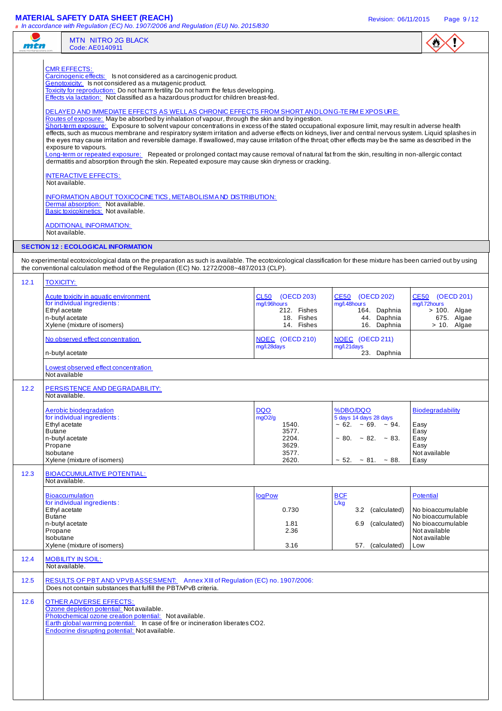# **MATERIAL SAFETY DATA SHEET (REACH) Revision: 06/11/2015** Page 9/12

| mtn                      | # In accordance with Regulation (EC) No. 1907/2006 and Regulation (EU) No. 2015/830<br><b>MTN NITRO 2G BLACK</b><br>Code: AE0140911                                                                                                                                                                                                                                                                                                                                                                                                                                                                                                                                                                                                                                                                                                                                                                                                                                                                                                                                                                                                                                                                                                                                                                                                                                                                                                                                                                                                                      |                                                                            |                                                                                                                                        |                                                                                                                          |
|--------------------------|----------------------------------------------------------------------------------------------------------------------------------------------------------------------------------------------------------------------------------------------------------------------------------------------------------------------------------------------------------------------------------------------------------------------------------------------------------------------------------------------------------------------------------------------------------------------------------------------------------------------------------------------------------------------------------------------------------------------------------------------------------------------------------------------------------------------------------------------------------------------------------------------------------------------------------------------------------------------------------------------------------------------------------------------------------------------------------------------------------------------------------------------------------------------------------------------------------------------------------------------------------------------------------------------------------------------------------------------------------------------------------------------------------------------------------------------------------------------------------------------------------------------------------------------------------|----------------------------------------------------------------------------|----------------------------------------------------------------------------------------------------------------------------------------|--------------------------------------------------------------------------------------------------------------------------|
|                          | <b>CMR EFFECTS:</b><br>Carcinogenic effects: Is not considered as a carcinogenic product.<br>Genotoxicity: Is not considered as a mutagenic product.<br>Toxicity for reproduction: Do not harm fertility. Do not harm the fetus developping.<br>Effects via lactation: Not classified as a hazardous product for children breast-fed.<br>DELAYED AND IMMEDIATE EFFECTS AS WELL AS CHRONIC EFFECTS FROM SHORT AND LONG-TE RM EXPOSURE:<br>Routes of exposure: May be absorbed by inhalation of vapour, through the skin and by ingestion.<br>Short-term exposure: Exposure to solvent vapour concentrations in excess of the stated occupational exposure limit, may result in adverse health<br>effects, such as mucous membrane and respiratory system irritation and adverse effects on kidneys, liver and central nervous system. Liquid splashes in<br>the eyes may cause irritation and reversible damage. If swallowed, may cause irritation of the throat; other effects may be the same as described in the<br>exposure to vapours.<br>Long-term or repeated exposure: Repeated or prolonged contact may cause removal of natural fat from the skin, resulting in non-allergic contact<br>dermatitis and absorption through the skin. Repeated exposure may cause skin dryness or cracking.<br><b>INTERACTIVE EFFECTS:</b><br>Not available.<br>INFORMATION ABOUT TOXICOCINE TICS, METABOLISM AND DISTRIBUTION:<br>Dermal absorption: Not available.<br>Basic toxicokinetics: Not available.<br><b>ADDITIONAL INFORMATION:</b><br>Not available. |                                                                            |                                                                                                                                        |                                                                                                                          |
|                          | <b>SECTION 12 : ECOLOGICAL INFORMATION</b>                                                                                                                                                                                                                                                                                                                                                                                                                                                                                                                                                                                                                                                                                                                                                                                                                                                                                                                                                                                                                                                                                                                                                                                                                                                                                                                                                                                                                                                                                                               |                                                                            |                                                                                                                                        |                                                                                                                          |
|                          | No experimental ecotoxicological data on the preparation as such is available. The ecotoxicological classification for these mixture has been carried out by using<br>the conventional calculation method of the Regulation (EC) No. 1272/2008~487/2013 (CLP).                                                                                                                                                                                                                                                                                                                                                                                                                                                                                                                                                                                                                                                                                                                                                                                                                                                                                                                                                                                                                                                                                                                                                                                                                                                                                           |                                                                            |                                                                                                                                        |                                                                                                                          |
| 12.1                     | <b>TOXICITY:</b><br>Acute toxicity in aquatic environment<br>for individual ingredients:<br>Ethyl acetate<br>n-butyl acetate<br>Xylene (mixture of isomers)                                                                                                                                                                                                                                                                                                                                                                                                                                                                                                                                                                                                                                                                                                                                                                                                                                                                                                                                                                                                                                                                                                                                                                                                                                                                                                                                                                                              | CL50 (OECD 203)<br>mg/l.96hours<br>212. Fishes<br>18. Fishes<br>14. Fishes | CE50 (OECD 202)<br>mg/l.48hours<br>164. Daphnia<br>44. Daphnia<br>16. Daphnia                                                          | CE50 (OECD 201)<br>mg/l.72hours<br>$> 100$ . Algae<br>675. Algae<br>$> 10$ . Algae                                       |
|                          | No observed effect concentration<br>n-butyl acetate                                                                                                                                                                                                                                                                                                                                                                                                                                                                                                                                                                                                                                                                                                                                                                                                                                                                                                                                                                                                                                                                                                                                                                                                                                                                                                                                                                                                                                                                                                      | NOEC (OECD 210)<br>mg/l.28days                                             | NOEC (OECD 211)<br>mg/l.21days<br>23. Daphnia                                                                                          |                                                                                                                          |
| 12.2                     | Lowest observed effect concentration<br>Not available<br>PERSISTENCE AND DEGRADABILITY:                                                                                                                                                                                                                                                                                                                                                                                                                                                                                                                                                                                                                                                                                                                                                                                                                                                                                                                                                                                                                                                                                                                                                                                                                                                                                                                                                                                                                                                                  |                                                                            |                                                                                                                                        |                                                                                                                          |
| <b>Butane</b><br>Propane | Not available.<br>Aerobic biodegradation<br>for individual ingredients:<br>Ethyl acetate<br>n-butyl acetate<br>Isobutane<br>Xylene (mixture of isomers)                                                                                                                                                                                                                                                                                                                                                                                                                                                                                                                                                                                                                                                                                                                                                                                                                                                                                                                                                                                                                                                                                                                                                                                                                                                                                                                                                                                                  | <b>DQO</b><br>mgO2/g<br>1540.<br>3577.<br>2204.<br>3629.<br>3577.<br>2620. | %DBO/DQO<br>5 days 14 days 28 days<br>$\sim 62. \sim 69. \sim 94.$<br>$\sim 80. \sim 82. \sim 83.$<br>$\sim$ 52. $\sim$ 81. $\sim$ 88. | <b>Biodegradability</b><br>Easy<br>Easy<br>Easy<br>Easy<br>Not available<br>Easy                                         |
| 12.3                     | <b>BIOACCUMULATIVE POTENTIAL:</b><br>Not available.                                                                                                                                                                                                                                                                                                                                                                                                                                                                                                                                                                                                                                                                                                                                                                                                                                                                                                                                                                                                                                                                                                                                                                                                                                                                                                                                                                                                                                                                                                      |                                                                            |                                                                                                                                        |                                                                                                                          |
| <b>Butane</b><br>Propane | <b>Bioaccumulation</b><br>for individual ingredients:<br>Ethyl acetate<br>n-butyl acetate<br>Isobutane<br>Xylene (mixture of isomers)                                                                                                                                                                                                                                                                                                                                                                                                                                                                                                                                                                                                                                                                                                                                                                                                                                                                                                                                                                                                                                                                                                                                                                                                                                                                                                                                                                                                                    | logPow<br>0.730<br>1.81<br>2.36<br>3.16                                    | <b>BCF</b><br>L/kg<br>(calculated)<br>3.2<br>6.9<br>(calculated)<br>57. (calculated)                                                   | <b>Potential</b><br>No bioaccumulable<br>No bioaccumulable<br>No bioaccumulable<br>Not available<br>Not available<br>Low |
| 12.4                     | <b>MOBILITY IN SOIL:</b><br>Not available.                                                                                                                                                                                                                                                                                                                                                                                                                                                                                                                                                                                                                                                                                                                                                                                                                                                                                                                                                                                                                                                                                                                                                                                                                                                                                                                                                                                                                                                                                                               |                                                                            |                                                                                                                                        |                                                                                                                          |
| $12.5$                   | RESULTS OF PBT AND VPVBASSESMENT: Annex XIII of Regulation (EC) no. 1907/2006:<br>Does not contain substances that fulfill the PBT/vPvB criteria.                                                                                                                                                                                                                                                                                                                                                                                                                                                                                                                                                                                                                                                                                                                                                                                                                                                                                                                                                                                                                                                                                                                                                                                                                                                                                                                                                                                                        |                                                                            |                                                                                                                                        |                                                                                                                          |
| 12.6                     | <b>OTHER ADVERSE EFFECTS:</b><br>Ozone depletion potential: Not available.<br>Photochemical ozone creation potential: Not available.<br>Earth global warming potential: In case of fire or incineration liberates CO2.<br>Endocrine disrupting potential: Not available.                                                                                                                                                                                                                                                                                                                                                                                                                                                                                                                                                                                                                                                                                                                                                                                                                                                                                                                                                                                                                                                                                                                                                                                                                                                                                 |                                                                            |                                                                                                                                        |                                                                                                                          |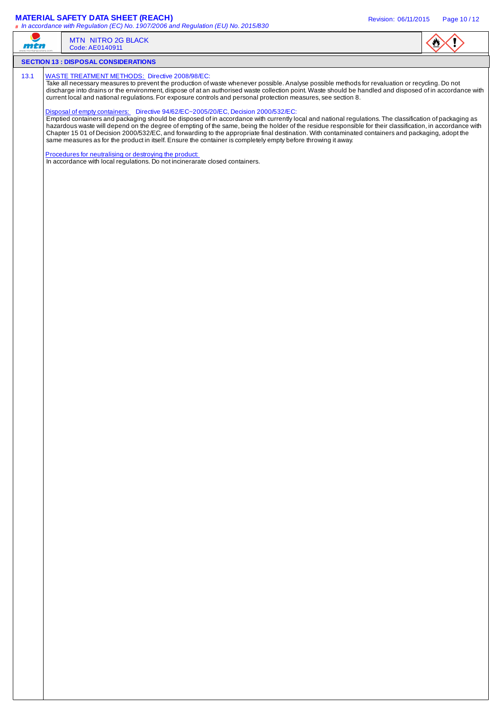### **MATERIAL SAFETY DATA SHEET (REACH)** Revision: 06/11/2015 Page 10 / 12

| m T  | <b>MTN NITRO 2G BLACK</b><br>Code: AE0140911                                                                                                                                                                                                                                                                                                                                                                                                                                                                                                                                                                                                                                                                                               |  |
|------|--------------------------------------------------------------------------------------------------------------------------------------------------------------------------------------------------------------------------------------------------------------------------------------------------------------------------------------------------------------------------------------------------------------------------------------------------------------------------------------------------------------------------------------------------------------------------------------------------------------------------------------------------------------------------------------------------------------------------------------------|--|
|      | <b>SECTION 13 : DISPOSAL CONSIDERATIONS</b>                                                                                                                                                                                                                                                                                                                                                                                                                                                                                                                                                                                                                                                                                                |  |
| 13.1 | WASTE TREATMENT METHODS: Directive 2008/98/EC:<br>Take all necessary measures to prevent the production of waste whenever possible. Analyse possible methods for revaluation or recycling. Do not<br>discharge into drains or the environment, dispose of at an authorised waste collection point. Waste should be handled and disposed of in accordance with<br>current local and national regulations. For exposure controls and personal protection measures, see section 8.                                                                                                                                                                                                                                                            |  |
|      | Disposal of empty containers: Directive 94/62/EC~2005/20/EC, Decision 2000/532/EC:<br>Emptied containers and packaging should be disposed of in accordance with currently local and national regulations. The classification of packaging as<br>hazardous waste will depend on the degree of empting of the same, being the holder of the residue responsible for their classification, in accordance with<br>Chapter 15 01 of Decision 2000/532/EC, and forwarding to the appropriate final destination. With contaminated containers and packaging, adopt the<br>same measures as for the product in itself. Ensure the container is completely empty before throwing it away.<br>Procedures for neutralising or destroying the product: |  |
|      | In accordance with local regulations. Do not incinerarate closed containers.                                                                                                                                                                                                                                                                                                                                                                                                                                                                                                                                                                                                                                                               |  |
|      |                                                                                                                                                                                                                                                                                                                                                                                                                                                                                                                                                                                                                                                                                                                                            |  |
|      |                                                                                                                                                                                                                                                                                                                                                                                                                                                                                                                                                                                                                                                                                                                                            |  |
|      |                                                                                                                                                                                                                                                                                                                                                                                                                                                                                                                                                                                                                                                                                                                                            |  |
|      |                                                                                                                                                                                                                                                                                                                                                                                                                                                                                                                                                                                                                                                                                                                                            |  |
|      |                                                                                                                                                                                                                                                                                                                                                                                                                                                                                                                                                                                                                                                                                                                                            |  |
|      |                                                                                                                                                                                                                                                                                                                                                                                                                                                                                                                                                                                                                                                                                                                                            |  |
|      |                                                                                                                                                                                                                                                                                                                                                                                                                                                                                                                                                                                                                                                                                                                                            |  |
|      |                                                                                                                                                                                                                                                                                                                                                                                                                                                                                                                                                                                                                                                                                                                                            |  |
|      |                                                                                                                                                                                                                                                                                                                                                                                                                                                                                                                                                                                                                                                                                                                                            |  |
|      |                                                                                                                                                                                                                                                                                                                                                                                                                                                                                                                                                                                                                                                                                                                                            |  |
|      |                                                                                                                                                                                                                                                                                                                                                                                                                                                                                                                                                                                                                                                                                                                                            |  |
|      |                                                                                                                                                                                                                                                                                                                                                                                                                                                                                                                                                                                                                                                                                                                                            |  |
|      |                                                                                                                                                                                                                                                                                                                                                                                                                                                                                                                                                                                                                                                                                                                                            |  |
|      |                                                                                                                                                                                                                                                                                                                                                                                                                                                                                                                                                                                                                                                                                                                                            |  |
|      |                                                                                                                                                                                                                                                                                                                                                                                                                                                                                                                                                                                                                                                                                                                                            |  |
|      |                                                                                                                                                                                                                                                                                                                                                                                                                                                                                                                                                                                                                                                                                                                                            |  |
|      |                                                                                                                                                                                                                                                                                                                                                                                                                                                                                                                                                                                                                                                                                                                                            |  |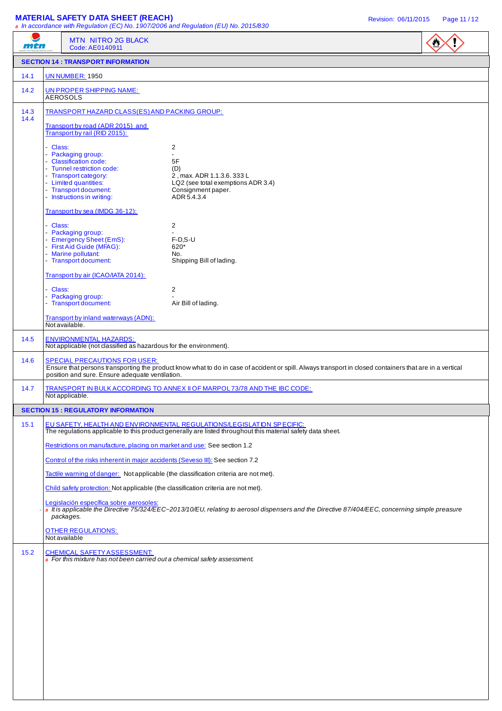## **MATERIAL SAFETY DATA SHEET (REACH) Revision: 06/11/2015** Page 11/12

|              | # In accordance with Regulation (EC) No. 1907/2006 and Regulation (EU) No. 2015/830                | $\frac{1}{2}$                                                                                                                                                                        |  |
|--------------|----------------------------------------------------------------------------------------------------|--------------------------------------------------------------------------------------------------------------------------------------------------------------------------------------|--|
| mtn          | MTN NITRO 2G BLACK<br>Code: AE0140911                                                              |                                                                                                                                                                                      |  |
|              | <b>SECTION 14 : TRANSPORT INFORMATION</b>                                                          |                                                                                                                                                                                      |  |
| 14.1         | <b>UN NUMBER: 1950</b>                                                                             |                                                                                                                                                                                      |  |
| 14.2         | UN PROPER SHIPPING NAME:<br><b>AEROSOLS</b>                                                        |                                                                                                                                                                                      |  |
| 14.3<br>14.4 | TRANSPORT HAZARD CLASS(ES) AND PACKING GROUP:                                                      |                                                                                                                                                                                      |  |
|              | Transport by road (ADR 2015) and<br>Transport by rail (RID 2015):                                  |                                                                                                                                                                                      |  |
|              | - Class:<br>- Packaging group:                                                                     | $\overline{c}$                                                                                                                                                                       |  |
|              | - Classification code:                                                                             | 5F                                                                                                                                                                                   |  |
|              | - Tunnel restriction code:<br>- Transport category:                                                | (D)<br>2, max. ADR 1.1.3.6. 333 L                                                                                                                                                    |  |
|              | - Limited quantities:<br>- Transport document:                                                     | LQ2 (see total exemptions ADR 3.4)<br>Consignment paper.                                                                                                                             |  |
|              | - Instructions in writing:                                                                         | ADR 5.4.3.4                                                                                                                                                                          |  |
|              | Transport by sea (IMDG 36-12):                                                                     |                                                                                                                                                                                      |  |
|              | - Class:                                                                                           | 2                                                                                                                                                                                    |  |
|              | - Packaging group:<br>- Emergency Sheet (EmS):                                                     | $F-D, S-U$                                                                                                                                                                           |  |
|              | - First Aid Guide (MFAG):<br>- Marine pollutant:                                                   | 620*<br>No.                                                                                                                                                                          |  |
|              | - Transport document:                                                                              | Shipping Bill of lading.                                                                                                                                                             |  |
|              | Transport by air (ICAO/IATA 2014):                                                                 |                                                                                                                                                                                      |  |
|              | - Class:                                                                                           | $\overline{c}$                                                                                                                                                                       |  |
|              | - Packaging group:<br>- Transport document:                                                        | Air Bill of lading.                                                                                                                                                                  |  |
|              | Transport by inland waterways (ADN):<br>Not available.                                             |                                                                                                                                                                                      |  |
| 14.5         | <b>ENVIRONMENTAL HAZARDS:</b><br>Not applicable (not classified as hazardous for the environment). |                                                                                                                                                                                      |  |
| 14.6         | <b>SPECIAL PRECAUTIONS FOR USER:</b><br>position and sure. Ensure adequate ventilation.            | Ensure that persons transporting the product know what to do in case of accident or spill. Always transport in closed containers that are in a vertical                              |  |
| 14.7         | Not applicable.                                                                                    | TRANSPORT IN BULK ACCORDING TO ANNEX II OF MARPOL73/78 AND THE IBC CODE:                                                                                                             |  |
|              | <b>SECTION 15 : REGULATORY INFORMATION</b>                                                         |                                                                                                                                                                                      |  |
| 15.1         |                                                                                                    | EU SAFETY, HEALTH AND ENVIRONMENTAL REGULATIONS/LEGISLATION SPECIFIC:<br>The regulations applicable to this product generally are listed throughout this material safety data sheet. |  |
|              | Restrictions on manufacture, placing on market and use: See section 1.2                            |                                                                                                                                                                                      |  |
|              | Control of the risks inherent in major accidents (Seveso III): See section 7.2                     |                                                                                                                                                                                      |  |
|              |                                                                                                    | Tactile warning of danger: Not applicable (the classification criteria are not met).                                                                                                 |  |
|              | Child safety protection: Not applicable (the classification criteria are not met).                 |                                                                                                                                                                                      |  |
|              | Legislación específica sobre aerosoles:                                                            |                                                                                                                                                                                      |  |
|              | packages.                                                                                          | $*$ It is applicable the Directive 75/324/EEC-2013/10/EU, relating to aerosol dispensers and the Directive 87/404/EEC, concerning simple preasure                                    |  |
|              | <b>OTHER REGULATIONS:</b><br>Not available                                                         |                                                                                                                                                                                      |  |
| 15.2         | <b>CHEMICAL SAFETY ASSESSMENT:</b>                                                                 |                                                                                                                                                                                      |  |
|              | # For this mixture has not been carried out a chemical safety assessment.                          |                                                                                                                                                                                      |  |
|              |                                                                                                    |                                                                                                                                                                                      |  |
|              |                                                                                                    |                                                                                                                                                                                      |  |
|              |                                                                                                    |                                                                                                                                                                                      |  |
|              |                                                                                                    |                                                                                                                                                                                      |  |
|              |                                                                                                    |                                                                                                                                                                                      |  |
|              |                                                                                                    |                                                                                                                                                                                      |  |
|              |                                                                                                    |                                                                                                                                                                                      |  |
|              |                                                                                                    |                                                                                                                                                                                      |  |
|              |                                                                                                    |                                                                                                                                                                                      |  |